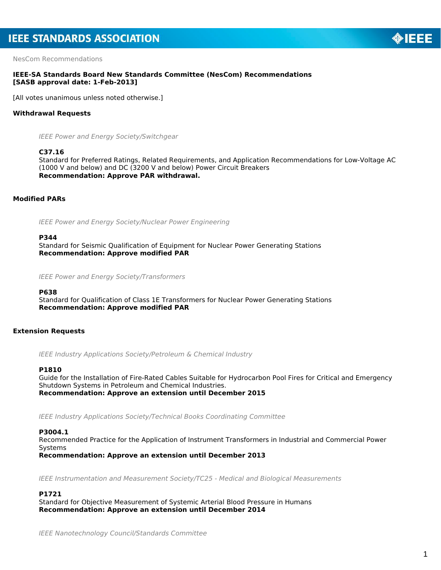NesCom Recommendations

# **IEEE-SA Standards Board New Standards Committee (NesCom) Recommendations [SASB approval date: 1-Feb-2013]**

[All votes unanimous unless noted otherwise.]

# **Withdrawal Requests**

*IEEE Power and Energy Society/Switchgear*

### **C37.16**

Standard for Preferred Ratings, Related Requirements, and Application Recommendations for Low-Voltage AC (1000 V and below) and DC (3200 V and below) Power Circuit Breakers *Recommendation: Approve PAR withdrawal.*

# **Modified PARs**

*IEEE Power and Energy Society/Nuclear Power Engineering*

#### **P344**

Standard for Seismic Qualification of Equipment for Nuclear Power Generating Stations *Recommendation: Approve modified PAR*

*IEEE Power and Energy Society/Transformers*

## **P638**

Standard for Qualification of Class 1E Transformers for Nuclear Power Generating Stations *Recommendation: Approve modified PAR*

# **Extension Requests**

*IEEE Industry Applications Society/Petroleum & Chemical Industry*

### **P1810**

Guide for the Installation of Fire-Rated Cables Suitable for Hydrocarbon Pool Fires for Critical and Emergency Shutdown Systems in Petroleum and Chemical Industries. *Recommendation: Approve an extension until December 2015*

*IEEE Industry Applications Society/Technical Books Coordinating Committee*

# **P3004.1**

Recommended Practice for the Application of Instrument Transformers in Industrial and Commercial Power Systems

*Recommendation: Approve an extension until December 2013*

*IEEE Instrumentation and Measurement Society/TC25 - Medical and Biological Measurements*

### **P1721**

Standard for Objective Measurement of Systemic Arterial Blood Pressure in Humans *Recommendation: Approve an extension until December 2014*

*IEEE Nanotechnology Council/Standards Committee*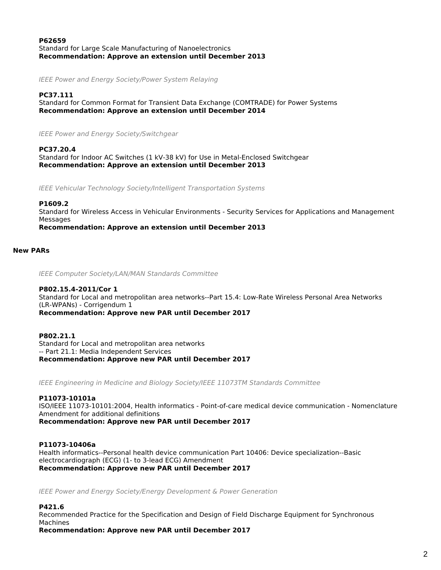## **P62659** Standard for Large Scale Manufacturing of Nanoelectronics *Recommendation: Approve an extension until December 2013*

*IEEE Power and Energy Society/Power System Relaying*

**PC37.111** Standard for Common Format for Transient Data Exchange (COMTRADE) for Power Systems *Recommendation: Approve an extension until December 2014*

*IEEE Power and Energy Society/Switchgear*

**PC37.20.4** Standard for Indoor AC Switches (1 kV-38 kV) for Use in Metal-Enclosed Switchgear *Recommendation: Approve an extension until December 2013*

*IEEE Vehicular Technology Society/Intelligent Transportation Systems*

**P1609.2**

Standard for Wireless Access in Vehicular Environments - Security Services for Applications and Management **Messages** 

*Recommendation: Approve an extension until December 2013*

### **New PARs**

*IEEE Computer Society/LAN/MAN Standards Committee*

# **P802.15.4-2011/Cor 1**

Standard for Local and metropolitan area networks--Part 15.4: Low-Rate Wireless Personal Area Networks (LR-WPANs) - Corrigendum 1

*Recommendation: Approve new PAR until December 2017*

**P802.21.1** Standard for Local and metropolitan area networks -- Part 21.1: Media Independent Services *Recommendation: Approve new PAR until December 2017*

*IEEE Engineering in Medicine and Biology Society/IEEE 11073TM Standards Committee*

# **P11073-10101a**

ISO/IEEE 11073-10101:2004, Health informatics - Point-of-care medical device communication - Nomenclature Amendment for additional definitions

*Recommendation: Approve new PAR until December 2017*

## **P11073-10406a**

Health informatics--Personal health device communication Part 10406: Device specialization--Basic electrocardiograph (ECG) (1- to 3-lead ECG) Amendment *Recommendation: Approve new PAR until December 2017*

*IEEE Power and Energy Society/Energy Development & Power Generation*

## **P421.6**

Recommended Practice for the Specification and Design of Field Discharge Equipment for Synchronous Machines

*Recommendation: Approve new PAR until December 2017*